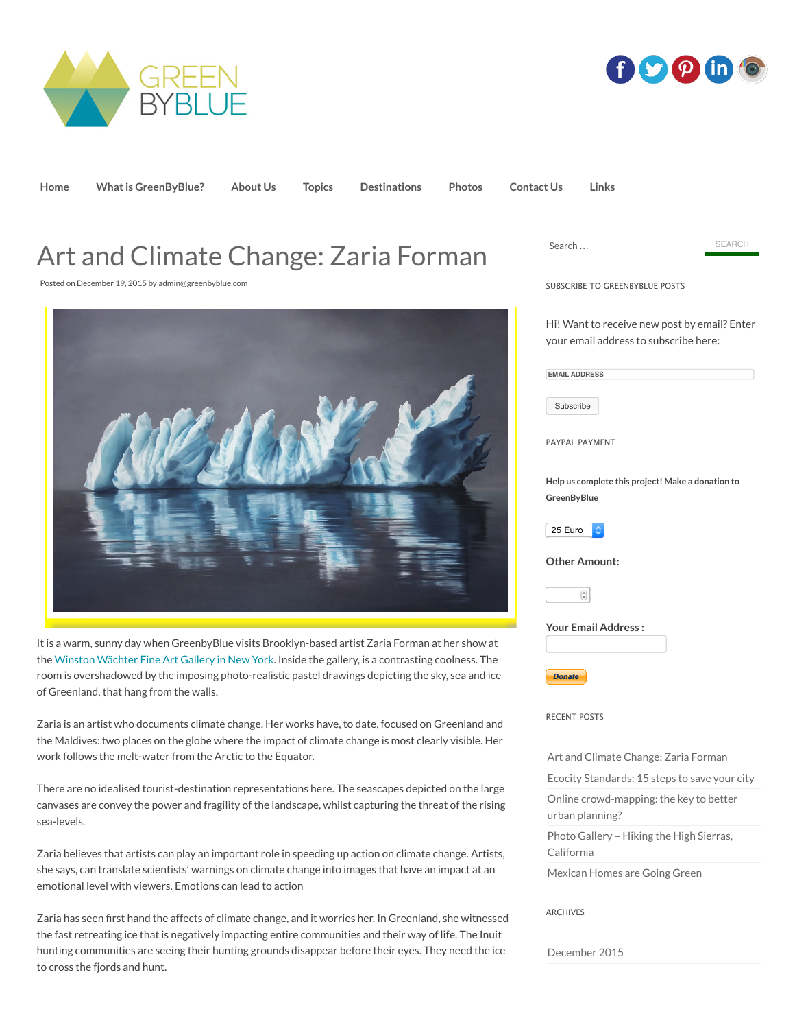



**[Home](http://greenbyblue.com/) [What is GreenByBlue?](http://greenbyblue.com/what-is-greenbyblue/) [About Us](http://greenbyblue.com/about/) [Topics](http://greenbyblue.com/topics/) [Destinations](http://greenbyblue.com/destinations/) [Photos](http://greenbyblue.com/category/photos/) [Contact Us](http://greenbyblue.com/contact-2/) [Links](http://greenbyblue.com/links/)**

## Art and Climate Change: Zaria Forman

Posted on [December 19, 2015](http://greenbyblue.com/2709-2/) by [admin@greenbyblue.com](http://greenbyblue.com/author/greenbyblue/)



It is a warm, sunny day when GreenbyBlue visits Brooklyn-based artist Zaria Forman at her show at the [Winston Wächter Fine Art Gallery in New York.](http://newyork.winstonwachter.com/gallery/) Inside the gallery, is a contrasting coolness. The room is overshadowed by the imposing photo-realistic pastel drawings depicting the sky, sea and ice of Greenland, that hang from the walls.

Zaria is an artist who documents climate change. Her works have, to date, focused on Greenland and the Maldives: two places on the globe where the impact of climate change is most clearly visible. Her work follows the melt-water from the Arctic to the Equator.

There are no idealised tourist-destination representations here. The seascapes depicted on the large canvases are convey the power and fragility of the landscape, whilst capturing the threat of the rising sea-levels.

Zaria believes that artists can play an important role in speeding up action on climate change. Artists, she says, can translate scientists' warnings on climate change into images that have an impact at an emotional level with viewers. Emotions can lead to action

Zaria has seen first hand the affects of climate change, and it worries her. In Greenland, she witnessed the fast retreating ice that is negatively impacting entire communities and their way of life. The Inuit hunting communities are seeing their hunting grounds disappear before their eyes. They need the ice to cross the fjords and hunt.

| Search                                                                                | <b>SEARCH</b> |
|---------------------------------------------------------------------------------------|---------------|
| SUBSCRIBE TO GREENBYBLUE POSTS                                                        |               |
| Hi! Want to receive new post by email? Enter<br>your email address to subscribe here: |               |
| <b>EMAIL ADDRESS</b>                                                                  |               |
| Subscribe                                                                             |               |
| PAYPAL PAYMENT                                                                        |               |
| Help us complete this project! Make a donation to<br>GreenByBlue                      |               |
| 25 Euro                                                                               |               |
| <b>Other Amount:</b>                                                                  |               |
| ٥                                                                                     |               |
| <b>Your Email Address:</b>                                                            |               |
| <b>Donate</b>                                                                         |               |
| <b>RECENT POSTS</b>                                                                   |               |
| Art and Climate Change: Zaria Forman                                                  |               |
| Ecocity Standards: 15 steps to save your city                                         |               |
| Online crowd-mapping: the key to better<br>urban planning?                            |               |
|                                                                                       |               |
| Photo Gallery - Hiking the High Sierras,<br>California                                |               |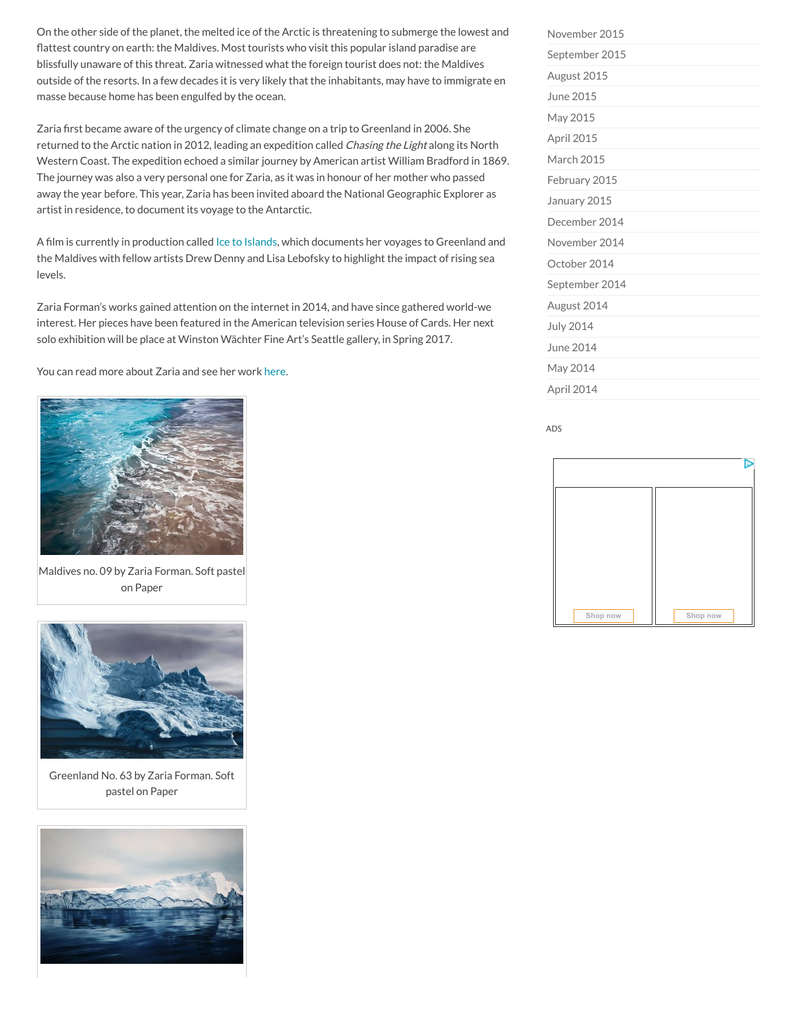On the other side of the planet, the melted ice of the Arctic is threatening to submerge the lowest and flattest country on earth: the Maldives. Most tourists who visit this popular island paradise are blissfully unaware of this threat. Zaria witnessed what the foreign tourist does not: the Maldives outside of the resorts. In a few decades it is very likely that the inhabitants, may have to immigrate en masse because home has been engulfed by the ocean.

Zaria first became aware of the urgency of climate change on a trip to Greenland in 2006. She returned to the Arctic nation in 2012, leading an expedition called Chasing the Light along its North Western Coast. The expedition echoed a similar journey by American artist William Bradford in 1869. The journey was also a very personal one for Zaria, as it was in honour of her mother who passed away the year before. This year, Zaria has been invited aboard the National Geographic Explorer as artist in residence, to document its voyage to the Antarctic.

A film is currently in production called [Ice to Islands,](http://icetoislands.com/) which documents her voyages to Greenland and the Maldives with fellow artists Drew Denny and Lisa Lebofsky to highlight the impact of rising sea levels.

Zaria Forman's works gained attention on the internet in 2014, and have since gathered world-we interest. Her pieces have been featured in the American television series House of Cards. Her next solo exhibition will be place at Winston Wächter Fine Art's Seattle gallery, in Spring 2017.

You can read more about Zaria and see her work [here](http://www.zariaforman.com/).



Maldives no. 09 by Zaria Forman. Soft pastel on Paper



Greenland No. 63 by Zaria Forman. Soft pastel on Paper



| November 2015    |
|------------------|
| September 2015   |
| August 2015      |
| June 2015        |
| May 2015         |
| April 2015       |
| March 2015       |
| February 2015    |
| January 2015     |
| December 2014    |
| November 2014    |
| October 2014     |
| September 2014   |
| August 2014      |
| <b>July 2014</b> |
| June 2014        |
| May 2014         |
| April 2014       |

ADS

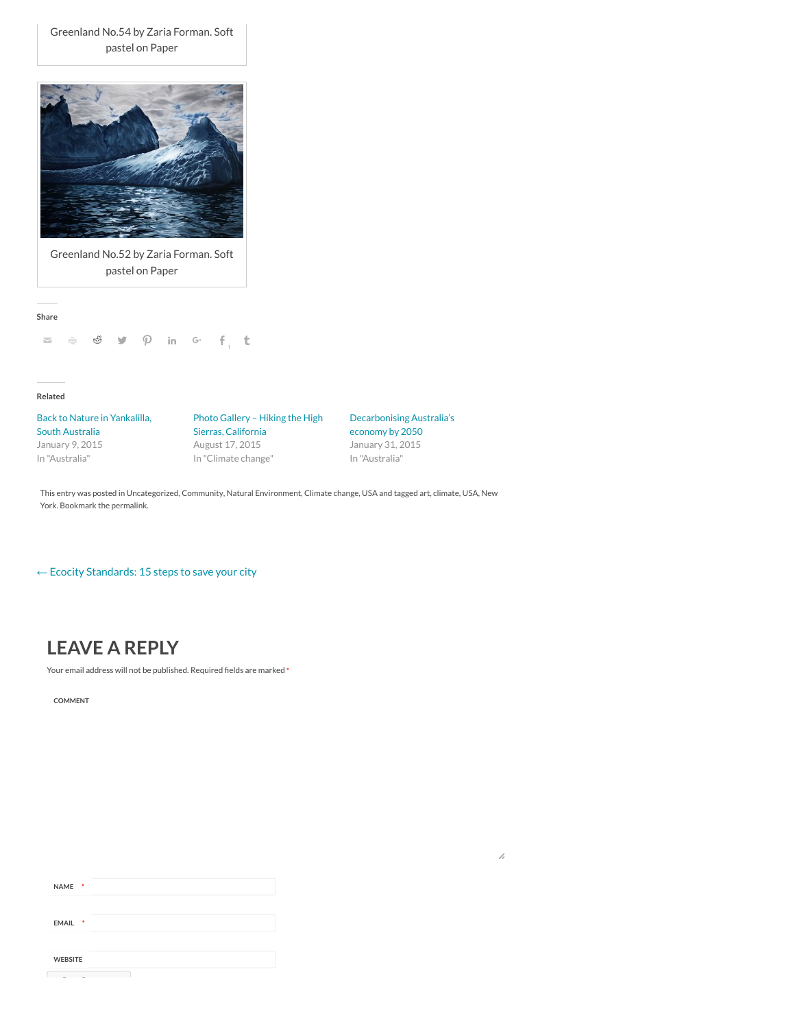Greenland No.54 by Zaria Forman. Soft pastel on Paper



Greenland No.52 by Zaria Forman. Soft pastel on Paper

**Share**



**Related**

[Back to Nature in Yankalilla,](http://greenbyblue.com/yankilila-south-australia/) South Australia January 9, 2015 In "Australia"

[Photo Gallery – Hiking the High](http://greenbyblue.com/hike-sequoia/) Sierras, California August 17, 2015 In "Climate change"

[Decarbonising Australia's](http://greenbyblue.com/decarbonising-australia/) economy by 2050 January 31, 2015 In "Australia"

[This entry was posted in](http://greenbyblue.com/tag/new-york/) [Uncategorized](http://greenbyblue.com/category/uncategorized/)[,](http://greenbyblue.com/tag/new-york/) [Communit](http://greenbyblue.com/category/community/)[y,](http://greenbyblue.com/tag/new-york/) [Natural Environment](http://greenbyblue.com/category/natural-environment/)[,](http://greenbyblue.com/tag/new-york/) [Climate chang](http://greenbyblue.com/category/climate-change/)[e,](http://greenbyblue.com/tag/new-york/) [USA](http://greenbyblue.com/category/usa/) [and tagged](http://greenbyblue.com/tag/new-york/) [ar](http://greenbyblue.com/tag/art/)[t, c](http://greenbyblue.com/tag/new-york/)[limate](http://greenbyblue.com/tag/climate/)[,](http://greenbyblue.com/tag/new-york/) [USA](http://greenbyblue.com/tag/usa/)[, New](http://greenbyblue.com/tag/new-york/) York. Bookmark the [permalink](http://greenbyblue.com/2709-2/).

← [Ecocity Standards: 15 steps to save your city](http://greenbyblue.com/ecocity-standards/)

## **LEAVE A REPLY**

Your email address will not be published. Required fields are marked **\***

**COMMENT**

| - *<br><b>EMAIL</b><br><b>WEBSITE</b> | <b>NAME</b><br>$\ddot{\phantom{1}}$ |  |  |
|---------------------------------------|-------------------------------------|--|--|
|                                       |                                     |  |  |
|                                       |                                     |  |  |
|                                       |                                     |  |  |
|                                       |                                     |  |  |

 $\mathcal{L}$